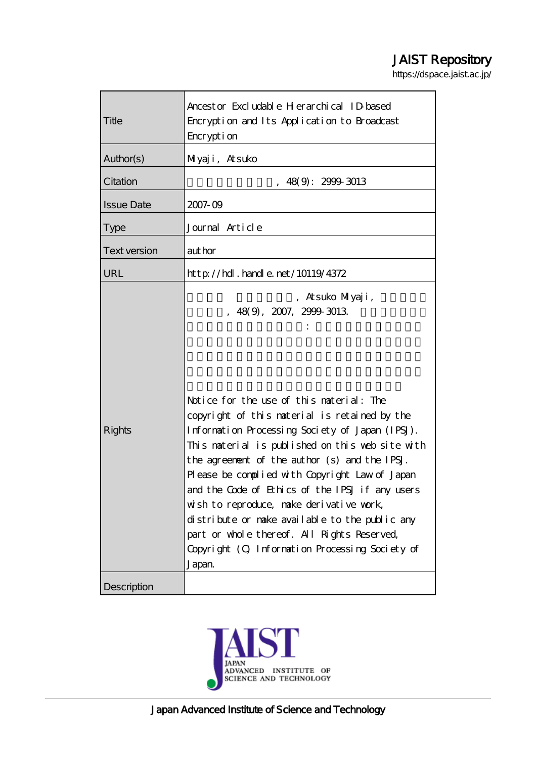# JAIST Repository

https://dspace.jaist.ac.jp/

| Title               | Ancestor Excludable Herarchical ID based<br>Encryption and Its Application to Broadcast<br>Encryption                                                                                                                                                                                                                                                                                                                                                                                                                                                                                                        |  |  |  |  |
|---------------------|--------------------------------------------------------------------------------------------------------------------------------------------------------------------------------------------------------------------------------------------------------------------------------------------------------------------------------------------------------------------------------------------------------------------------------------------------------------------------------------------------------------------------------------------------------------------------------------------------------------|--|--|--|--|
| Author(s)           | Miyaji, Atsuko                                                                                                                                                                                                                                                                                                                                                                                                                                                                                                                                                                                               |  |  |  |  |
| Citation            | 48(9): 2999-3013                                                                                                                                                                                                                                                                                                                                                                                                                                                                                                                                                                                             |  |  |  |  |
| <b>Issue Date</b>   | $2007 - 09$                                                                                                                                                                                                                                                                                                                                                                                                                                                                                                                                                                                                  |  |  |  |  |
| <b>Type</b>         | Journal Article                                                                                                                                                                                                                                                                                                                                                                                                                                                                                                                                                                                              |  |  |  |  |
| <b>Text version</b> | author                                                                                                                                                                                                                                                                                                                                                                                                                                                                                                                                                                                                       |  |  |  |  |
| URL                 | $http$ // $hdl$ . handle. net/10119/4372                                                                                                                                                                                                                                                                                                                                                                                                                                                                                                                                                                     |  |  |  |  |
| <b>Rights</b>       | , Atsuko Milyaji,<br>,48(9,2007,29993013)<br>Notice for the use of this material: The<br>copyright of this material is retained by the<br>Information Processing Society of Japan (IPSJ).<br>This material is published on this web site with<br>the agreement of the author (s) and the IPSJ.<br>Please be complied with Copyright Law of Japan<br>and the Code of Ethics of the IPSJ if any users<br>wish to reproduce, make derivative work,<br>distribute or make available to the public any<br>part or whole thereof. All Rights Reserved,<br>Copyright (C) Information Processing Society of<br>Japan |  |  |  |  |
| Description         |                                                                                                                                                                                                                                                                                                                                                                                                                                                                                                                                                                                                              |  |  |  |  |

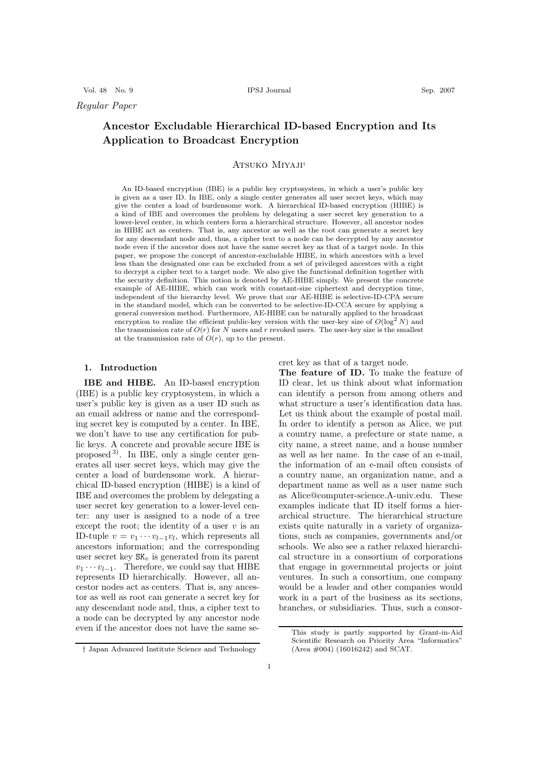Vol. 48 No. 9 **IPSJ Journal** Sep. 2007

*Regular Paper*

# **Ancestor Excludable Hierarchical ID-based Encryption and Its Application to Broadcast Encryption**

# Atsuko Miyaji<sup>†</sup>

An ID-based encryption (IBE) is a public key cryptosystem, in which a user's public key is given as a user ID. In IBE, only a single center generates all user secret keys, which may give the center a load of burdensome work. A hierarchical ID-based encryption (HIBE) is a kind of IBE and overcomes the problem by delegating a user secret key generation to a lower-level center, in which centers form a hierarchical structure. However, all ancestor nodes in HIBE act as centers. That is, any ancestor as well as the root can generate a secret key for any descendant node and, thus, a cipher text to a node can be decrypted by any ancestor node even if the ancestor does not have the same secret key as that of a target node. In this paper, we propose the concept of ancestor-excludable HIBE, in which ancestors with a level less than the designated one can be excluded from a set of privileged ancestors with a right to decrypt a cipher text to a target node. We also give the functional definition together with the security definition. This notion is denoted by AE-HIBE simply. We present the concrete example of AE-HIBE, which can work with constant-size ciphertext and decryption time, independent of the hierarchy level. We prove that our AE-HIBE is selective-ID-CPA secure in the standard model, which can be converted to be selective-ID-CCA secure by applying a general conversion method. Furthermore, AE-HIBE can be naturally applied to the broadcast encryption to realize the efficient public-key version with the user-key size of  $O(\log^2 N)$  and the transmission rate of  $O(r)$  for *N* users and *r* revoked users. The user-key size is the smallest at the transmission rate of  $O(r)$ , up to the present.

#### **1. Introduction**

**IBE and HIBE.** An ID-based encryption (IBE) is a public key cryptosystem, in which a user's public key is given as a user ID such as an email address or name and the corresponding secret key is computed by a center. In IBE, we don't have to use any certification for public keys. A concrete and provable secure IBE is proposed 3). In IBE, only a single center generates all user secret keys, which may give the center a load of burdensome work. A hierarchical ID-based encryption (HIBE) is a kind of IBE and overcomes the problem by delegating a user secret key generation to a lower-level center: any user is assigned to a node of a tree except the root; the identity of a user  $v$  is an ID-tuple  $v = v_1 \cdots v_{l-1}v_l$ , which represents all ancestors information; and the corresponding user secret key  $SK_v$  is generated from its parent  $v_1 \cdots v_{l-1}$ . Therefore, we could say that HIBE represents ID hierarchically. However, all ancestor nodes act as centers. That is, any ancestor as well as root can generate a secret key for any descendant node and, thus, a cipher text to a node can be decrypted by any ancestor node even if the ancestor does not have the same secret key as that of a target node.

**The feature of ID.** To make the feature of ID clear, let us think about what information can identify a person from among others and what structure a user's identification data has. Let us think about the example of postal mail. In order to identify a person as Alice, we put a country name, a prefecture or state name, a city name, a street name, and a house number as well as her name. In the case of an e-mail, the information of an e-mail often consists of a country name, an organization name, and a department name as well as a user name such as Alice@computer-science.A-univ.edu. These examples indicate that ID itself forms a hierarchical structure. The hierarchical structure exists quite naturally in a variety of organizations, such as companies, governments and/or schools. We also see a rather relaxed hierarchical structure in a consortium of corporations that engage in governmental projects or joint ventures. In such a consortium, one company would be a leader and other companies would work in a part of the business as its sections, branches, or subsidiaries. Thus, such a consor-

<sup>†</sup> Japan Advanced Institute Science and Technology

This study is partly supported by Grant-in-Aid Scientific Research on Priority Area "Informatics" (Area #004) (16016242) and SCAT.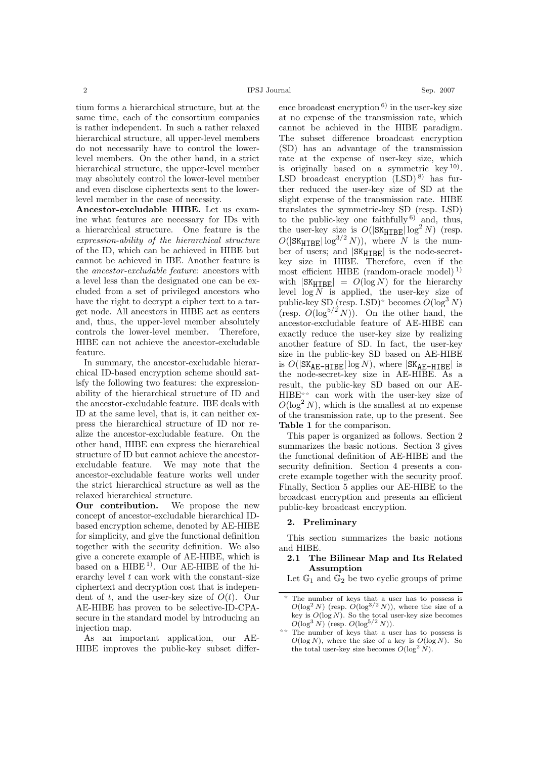tium forms a hierarchical structure, but at the same time, each of the consortium companies is rather independent. In such a rather relaxed hierarchical structure, all upper-level members do not necessarily have to control the lowerlevel members. On the other hand, in a strict hierarchical structure, the upper-level member may absolutely control the lower-level member and even disclose ciphertexts sent to the lowerlevel member in the case of necessity.

**Ancestor-excludable HIBE.** Let us examine what features are necessary for IDs with a hierarchical structure. One feature is the *expression-ability of the hierarchical structure* of the ID, which can be achieved in HIBE but cannot be achieved in IBE. Another feature is the *ancestor-excludable feature*: ancestors with a level less than the designated one can be excluded from a set of privileged ancestors who have the right to decrypt a cipher text to a target node. All ancestors in HIBE act as centers and, thus, the upper-level member absolutely controls the lower-level member. Therefore, HIBE can not achieve the ancestor-excludable feature.

In summary, the ancestor-excludable hierarchical ID-based encryption scheme should satisfy the following two features: the expressionability of the hierarchical structure of ID and the ancestor-excludable feature. IBE deals with ID at the same level, that is, it can neither express the hierarchical structure of ID nor realize the ancestor-excludable feature. On the other hand, HIBE can express the hierarchical structure of ID but cannot achieve the ancestorexcludable feature. We may note that the ancestor-excludable feature works well under the strict hierarchical structure as well as the relaxed hierarchical structure.

**Our contribution.** We propose the new concept of ancestor-excludable hierarchical IDbased encryption scheme, denoted by AE-HIBE for simplicity, and give the functional definition together with the security definition. We also give a concrete example of AE-HIBE, which is based on a  $HIBE<sup>1</sup>$ . Our AE-HIBE of the hierarchy level  $t$  can work with the constant-size ciphertext and decryption cost that is independent of t, and the user-key size of  $O(t)$ . Our AE-HIBE has proven to be selective-ID-CPAsecure in the standard model by introducing an injection map.

As an important application, our AE-HIBE improves the public-key subset difference broadcast encryption  $^{6)}$  in the user-key size at no expense of the transmission rate, which cannot be achieved in the HIBE paradigm. The subset difference broadcast encryption (SD) has an advantage of the transmission rate at the expense of user-key size, which is originally based on a symmetric key  $^{10}$ . LSD broadcast encryption  $(LSD)^{8}$  has further reduced the user-key size of SD at the slight expense of the transmission rate. HIBE translates the symmetric-key SD (resp. LSD) to the public-key one faithfully  $^{6)}$  and, thus, the user-key size is  $O(|SK_{HIBE}| \log^2 N)$  (resp.  $O(|SK_{\text{HIBE}}| \log^{3/2} N)$ , where N is the number of users; and  $|SK_{\text{HTBF}}|$  is the node-secretkey size in HIBE. Therefore, even if the most efficient HIBE (random-oracle model)<sup>1)</sup> with  $|SK_{\text{HTBE}}| = O(\log N)$  for the hierarchy level  $\log N$  is applied, the user-key size of public-key SD (resp. LSD) becomes  $O(\log^3 N)$ (resp.  $O(\log^{5/2} N)$ ). On the other hand, the ancestor-excludable feature of AE-HIBE can exactly reduce the user-key size by realizing another feature of SD. In fact, the user-key size in the public-key SD based on AE-HIBE is  $O(|SK_{AE-HIBE}| \log N)$ , where  $|SK_{AE-HIBE}|$  is the node-secret-key size in AE-HIBE. As a result, the public-key SD based on our AE-HIBE can work with the user-key size of  $O(\log^2 N)$ , which is the smallest at no expense of the transmission rate, up to the present. See **Table 1** for the comparison.

This paper is organized as follows. Section 2 summarizes the basic notions. Section 3 gives the functional definition of AE-HIBE and the security definition. Section 4 presents a concrete example together with the security proof. Finally, Section 5 applies our AE-HIBE to the broadcast encryption and presents an efficient public-key broadcast encryption.

#### **2. Preliminary**

This section summarizes the basic notions and HIBE.

**2.1 The Bilinear Map and Its Related Assumption**

Let  $\mathbb{G}_1$  and  $\mathbb{G}_2$  be two cyclic groups of prime

The number of keys that a user has to possess is  $O(\log N)$ , where the size of a key is  $O(\log N)$ . So the total user-key size becomes  $O(\log^2 N)$ .

The number of keys that a user has to possess is  $O(\log^2 N)$  (resp.  $O(\log^{3/2} N)$ ), where the size of a key is *O*(log *N*). So the total user-key size becomes  $O(\log^3 N)$  (resp.  $O(\log^{5/2} N)$ ).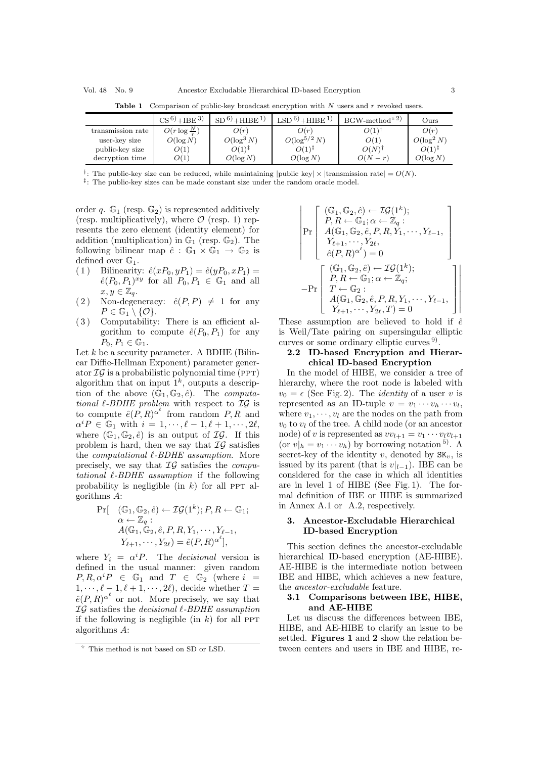|                   | $CS^{6}$ +IBE 3)        | $SD6$ +HIBE <sup>1</sup> ) | $LSD6$ +HIBE <sup>1</sup> ) | 2)<br>BGW-method    | Ours              |
|-------------------|-------------------------|----------------------------|-----------------------------|---------------------|-------------------|
| transmission rate | $O(r \log \frac{N}{r})$ | O(r)                       | O(r)                        | $O(1)$ <sup>†</sup> | O(r)              |
| user-key size     | $O(\log N)$             | $O(\log^3 N)$              | $O(\log^{5/2} N)$           | O(1)                | $O(\log^2 N)$     |
| public-key size   | O(1)                    | $O(1)^{1/2}$               | $O(1)^{1}$                  | $O(N)^\dagger$      | $O(1)^{\ddagger}$ |
| decryption time   | O(1)                    | $O(\log N)$                | $O(\log N)$                 | $O(N-r)$            | $O(\log N)$       |

**Table 1** Comparison of public-key broadcast encryption with *<sup>N</sup>* users and *<sup>r</sup>* revoked users.

<sup>†</sup>: The public-key size can be reduced, while maintaining |public key|  $\times$  |transmission rate| =  $O(N)$ .

<sup>‡</sup>: The public-key sizes can be made constant size under the random oracle model.

order q.  $\mathbb{G}_1$  (resp.  $\mathbb{G}_2$ ) is represented additively (resp. multiplicatively), where  $\mathcal{O}$  (resp. 1) represents the zero element (identity element) for addition (multiplication) in  $\mathbb{G}_1$  (resp.  $\mathbb{G}_2$ ). The following bilinear map  $\hat{e}: \mathbb{G}_1 \times \mathbb{G}_1 \to \mathbb{G}_2$  is defined over  $\mathbb{G}_1$ .

- ( 1 ) Bilinearity:  $\hat{e}(xP_0, yP_1) = \hat{e}(yP_0, xP_1) =$  $\hat{e}(P_0, P_1)^{xy}$  for all  $P_0, P_1 \in \mathbb{G}_1$  and all  $x, y \in \mathbb{Z}_q$ .
- (2) Non-degeneracy:  $\hat{e}(P, P) \neq 1$  for any  $P \in \mathbb{G}_1 \setminus \{ \mathcal{O} \}.$
- ( 3 ) Computability: There is an efficient algorithm to compute  $\hat{e}(P_0, P_1)$  for any  $P_0, P_1 \in \mathbb{G}_1$ .

Let  $k$  be a security parameter. A BDHE (Bilinear Diffie-Hellman Exponent) parameter generator  $IG$  is a probabilistic polynomial time (PPT) algorithm that on input  $1^k$ , outputs a description of the above  $(\mathbb{G}_1, \mathbb{G}_2, \hat{e})$ . The *computa* $tional \ell-BDHE problem$  with respect to  $IG$  is to compute  $\hat{e}(P,R)^{\alpha^{\ell}}$  from random  $P, R$  and  $\alpha^i P \in \mathbb{G}_1$  with  $i = 1, \dots, \ell - 1, \ell + 1, \dots, 2\ell$ , where  $(\mathbb{G}_1, \mathbb{G}_2, \hat{e})$  is an output of  $\mathcal{IG}$ . If this problem is hard, then we say that  $\mathcal{IG}$  satisfies the *computational*  $\ell$ -*BDHE assumption*. More precisely, we say that IG satisfies the *compu-* $\frac{1}{t}$ *tational*  $\ell$ -*BDHE assumption* if the following probability is negligible (in  $k$ ) for all PPT algorithms A:

$$
\Pr[\n\begin{array}{ll}\n(\mathbb{G}_1, \mathbb{G}_2, \hat{e}) \leftarrow \mathcal{IG}(1^k); P, R \leftarrow \mathbb{G}_1; \\
\alpha \leftarrow \mathbb{Z}_q: \\
A(\mathbb{G}_1, \mathbb{G}_2, \hat{e}, P, R, Y_1, \cdots, Y_{\ell-1}, \\
Y_{\ell+1}, \cdots, Y_{2\ell}) = \hat{e}(P, R)^{\alpha^{\ell}},\n\end{array}
$$

where  $Y_i = \alpha^i P$ . The *decisional* version is defined in the usual manner: given random  $P, R, \alpha^i P \in \mathbb{G}_1$  and  $T \in \mathbb{G}_2$  (where  $i =$  $1, \dots, \ell-1, \ell+1, \dots, 2\ell$ , decide whether  $T =$  $\hat{e}(P,R)^{\alpha^{\ell}}$  or not. More precisely, we say that  $\overline{LG}$  satisfies the *decisional*  $\ell$ -*BDHE* assumption if the following is negligible (in  $k$ ) for all PPT algorithms A:

$$
\left| \Pr \left[ \begin{array}{l} (\mathbb{G}_1, \mathbb{G}_2, \hat{e}) \leftarrow \mathcal{IG}(1^k); \\ P, R \leftarrow \mathbb{G}_1; \alpha \leftarrow \mathbb{Z}_q: \\ A(\mathbb{G}_1, \mathbb{G}_2, \hat{e}, P, R, Y_1, \cdots, Y_{\ell-1}, \\ Y_{\ell+1}, \cdots, Y_{2\ell}, \\ \hat{e}(P, R)^{\alpha^{\ell}}) = 0 \end{array} \right] \right|
$$
  
-
$$
-\Pr \left[ \begin{array}{l} (\mathbb{G}_1, \mathbb{G}_2, \hat{e}) \leftarrow \mathcal{IG}(1^k); \\ P, R \leftarrow \mathbb{G}_1; \alpha \leftarrow \mathbb{Z}_q; \\ A(\mathbb{G}_1, \mathbb{G}_2, \hat{e}, P, R, Y_1, \cdots, Y_{\ell-1}, \\ Y_{\ell+1}, \cdots, Y_{2\ell}, T) = 0 \end{array} \right] \right|
$$

These assumption are believed to hold if  $\hat{e}$ is Weil/Tate pairing on supersingular elliptic curves or some ordinary elliptic curves  $9$ .

# **2.2 ID-based Encryption and Hierarchical ID-based Encryption**

In the model of HIBE, we consider a tree of hierarchy, where the root node is labeled with  $v_0 = \epsilon$  (See Fig. 2). The *identity* of a user v is represented as an ID-tuple  $v = v_1 \cdots v_h \cdots v_l$ , where  $v_1, \dots, v_l$  are the nodes on the path from  $v_0$  to  $v_l$  of the tree. A child node (or an ancestor node) of v is represented as  $vv_{l+1} = v_1 \cdots v_l v_{l+1}$ (or  $v|_h = v_1 \cdots v_h$ ) by borrowing notation <sup>5)</sup>. A secret-key of the identity v, denoted by  $SK_v$ , is issued by its parent (that is  $v|_{l-1}$ ). IBE can be considered for the case in which all identities are in level 1 of HIBE (See Fig. 1). The formal definition of IBE or HIBE is summarized in Annex A.1 or A.2, respectively.

# **3. Ancestor-Excludable Hierarchical ID-based Encryption**

This section defines the ancestor-excludable hierarchical ID-based encryption (AE-HIBE). AE-HIBE is the intermediate notion between IBE and HIBE, which achieves a new feature, the *ancestor-excludable* feature.

# **3.1 Comparisons between IBE, HIBE, and AE-HIBE**

Let us discuss the differences between IBE, HIBE, and AE-HIBE to clarify an issue to be settled. **Figures 1** and **2** show the relation between centers and users in IBE and HIBE, re-

This method is not based on SD or LSD.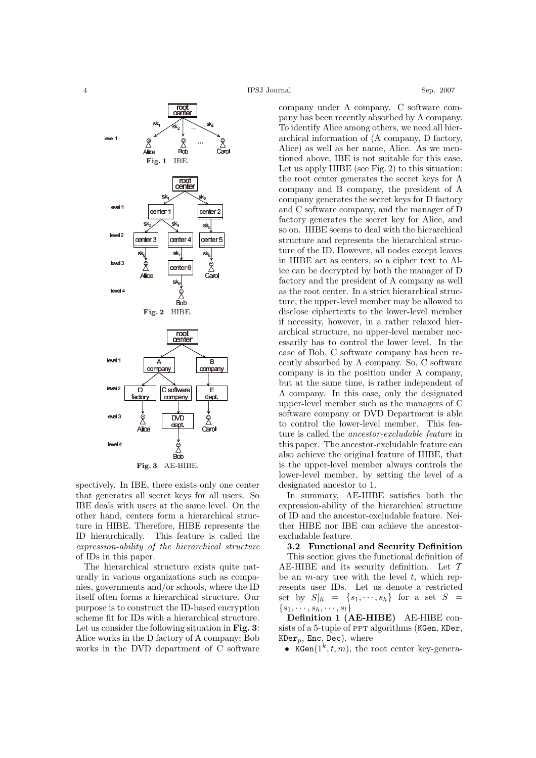

spectively. In IBE, there exists only one center that generates all secret keys for all users. So IBE deals with users at the same level. On the other hand, centers form a hierarchical structure in HIBE. Therefore, HIBE represents the ID hierarchically. This feature is called the *expression-ability of the hierarchical structure*

of IDs in this paper. The hierarchical structure exists quite naturally in various organizations such as companies, governments and/or schools, where the ID itself often forms a hierarchical structure. Our purpose is to construct the ID-based encryption scheme fit for IDs with a hierarchical structure. Let us consider the following situation in **Fig. 3**: Alice works in the D factory of A company; Bob works in the DVD department of C software company under A company. C software company has been recently absorbed by A company. To identify Alice among others, we need all hierarchical information of (A company, D factory, Alice) as well as her name, Alice. As we mentioned above, IBE is not suitable for this case. Let us apply HIBE (see Fig. 2) to this situation: the root center generates the secret keys for A company and B company, the president of A company generates the secret keys for D factory and C software company, and the manager of D factory generates the secret key for Alice, and so on. HIBE seems to deal with the hierarchical structure and represents the hierarchical structure of the ID. However, all nodes except leaves in HIBE act as centers, so a cipher text to Alice can be decrypted by both the manager of D factory and the president of A company as well as the root center. In a strict hierarchical structure, the upper-level member may be allowed to disclose ciphertexts to the lower-level member if necessity, however, in a rather relaxed hierarchical structure, no upper-level member necessarily has to control the lower level. In the case of Bob, C software company has been recently absorbed by A company. So, C software company is in the position under A company, but at the same time, is rather independent of A company. In this case, only the designated upper-level member such as the managers of C software company or DVD Department is able to control the lower-level member. This feature is called the *ancestor-excludable feature* in this paper. The ancestor-excludable feature can also achieve the original feature of HIBE, that is the upper-level member always controls the lower-level member, by setting the level of a designated ancestor to 1.

In summary, AE-HIBE satisfies both the expression-ability of the hierarchical structure of ID and the ancestor-excludable feature. Neither HIBE nor IBE can achieve the ancestorexcludable feature.

**3.2 Functional and Security Definition**

This section gives the functional definition of AE-HIBE and its security definition. Let  $\mathcal T$ be an  $m$ -ary tree with the level  $t$ , which represents user IDs. Let us denote a restricted set by  $S|_{h} = \{s_1, \dots, s_h\}$  for a set  $S =$  $\{s_1, \cdots, s_h, \cdots, s_l\}$ 

**Definition 1 (AE-HIBE)** AE-HIBE consists of a 5-tuple of PPT algorithms (KGen, KDer,  $KDer_n$ , Enc, Dec), where

• KGen $(1^k, t, m)$ , the root center key-genera-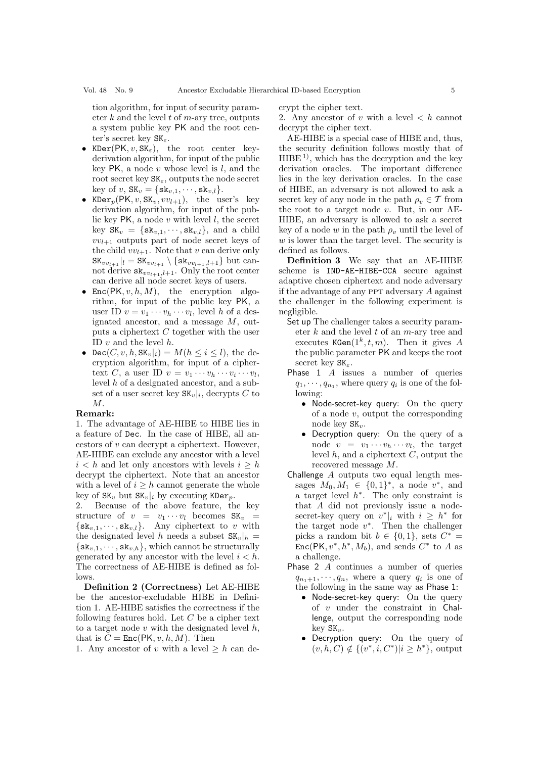tion algorithm, for input of security parameter  $k$  and the level  $t$  of  $m$ -ary tree, outputs a system public key PK and the root center's secret key  $SK_{\epsilon}$ .

- KDer(PK,  $v$ , SK<sub> $\epsilon$ </sub>), the root center keyderivation algorithm, for input of the public key  $PK$ , a node v whose level is l, and the root secret key  $SK_{\varepsilon}$ , outputs the node secret key of v,  $SK_v = \{sk_{v,1}, \dots, sk_{v,l}\}.$
- KDe $\mathbf{r}_p(\mathsf{PK}, v, \mathsf{SK}_v, vv_{l+1}),$  the user's key derivation algorithm, for input of the public key  $PK$ , a node v with level l, the secret key  $SK_v = \{sk_{v,1}, \dots, sk_{v,l}\},$  and a child  $vv_{l+1}$  outputs part of node secret keys of the child  $vv_{l+1}$ . Note that v can derive only  $SK_{vv_{l+1}}|_l = SK_{vv_{l+1}} \setminus \{ sk_{vv_{l+1},l+1} \}$  but cannot derive  $\mathtt{sk}_{vv_{l+1},l+1}$ . Only the root center can derive all node secret keys of users.
- Enc $(PK, v, h, M)$ , the encryption algorithm, for input of the public key PK, a user ID  $v = v_1 \cdots v_h \cdots v_l$ , level h of a designated ancestor, and a message M, outputs a ciphertext  $C$  together with the user ID  $v$  and the level  $h$ .
- Dec $(C, v, h, \text{SK}_v|_i) = M(h \leq i \leq l)$ , the decryption algorithm, for input of a ciphertext C, a user ID  $v = v_1 \cdots v_h \cdots v_i \cdots v_l$ , level h of a designated ancestor, and a subset of a user secret key  $SK_v|_i$ , decrypts C to M.

#### **Remark:**

1. The advantage of AE-HIBE to HIBE lies in a feature of Dec. In the case of HIBE, all ancestors of v can decrypt a ciphertext. However, AE-HIBE can exclude any ancestor with a level  $i < h$  and let only ancestors with levels  $i \geq h$ decrypt the ciphertext. Note that an ancestor with a level of  $i \geq h$  cannot generate the whole key of  $SK_v$  but  $SK_v|_i$  by executing  $KDer_p$ .<br>2. Because of the above feature, the

2. Because of the above feature, the key structure of  $v = v_1 \cdots v_l$  becomes  $SK_v =$  $\{sk_{v,1}, \dots, sk_{v,l}\}.$  Any ciphertext to v with the designated level h needs a subset  $SK_v|_h =$  $\{sk_{v,1}, \cdots, sk_{v,h}\},$  which cannot be structurally generated by any ancestor with the level  $i < h$ . The correctness of AE-HIBE is defined as follows.

**Definition 2 (Correctness)** Let AE-HIBE be the ancestor-excludable HIBE in Definition 1. AE-HIBE satisfies the correctness if the following features hold. Let  $C$  be a cipher text to a target node  $v$  with the designated level  $h$ , that is  $C = \text{Enc}(\text{PK}, v, h, M)$ . Then

1. Any ancestor of v with a level  $\geq h$  can de-

crypt the cipher text.

2. Any ancestor of v with a level  $\langle h \rangle$  cannot decrypt the cipher text.

AE-HIBE is a special case of HIBE and, thus, the security definition follows mostly that of  $HIBE<sup>1</sup>$ , which has the decryption and the key derivation oracles. The important difference lies in the key derivation oracles. In the case of HIBE, an adversary is not allowed to ask a secret key of any node in the path  $\rho_n \in \mathcal{T}$  from the root to a target node  $v$ . But, in our AE-HIBE, an adversary is allowed to ask a secret key of a node w in the path  $\rho_v$  until the level of  $w$  is lower than the target level. The security is defined as follows.

**Definition 3** We say that an AE-HIBE scheme is IND-AE-HIBE-CCA secure against adaptive chosen ciphertext and node adversary if the advantage of any  $PPT$  adversary  $A$  against the challenger in the following experiment is negligible.

- Set up The challenger takes a security parameter  $k$  and the level  $t$  of an  $m$ -ary tree and executes  $KGen(1^k, t, m)$ . Then it gives A the public parameter PK and keeps the root secret key  $SK_{\epsilon}$ .
- Phase 1 A issues a number of queries  $q_1, \dots, q_{n_1}$ , where query  $q_i$  is one of the following:
	- Node-secret-key query: On the query of a node  $v$ , output the corresponding node key  $SK_v$ .
	- Decryption query: On the query of a node  $v = v_1 \cdots v_h \cdots v_l$ , the target level  $h$ , and a ciphertext  $C$ , output the recovered message M.
- Challenge A outputs two equal length messages  $M_0, M_1 \in \{0, 1\}^*$ , a node  $v^*$ , and a target level  $h^*$ . The only constraint is that A did not previously issue a nodesecret-key query on  $v^*|_i$  with  $i \geq h^*$  for the target node  $v^*$ . Then the challenger picks a random bit  $b \in \{0, 1\}$ , sets  $C^* =$  $Enc(PK, v^*, h^*, M_b)$ , and sends  $C^*$  to A as a challenge.
- Phase 2 A continues a number of queries  $q_{n_1+1}, \dots, q_n$ , where a query  $q_i$  is one of the following in the same way as Phase 1:
	- Node-secret-key query: On the query of v under the constraint in Challenge, output the corresponding node  $key SK_v$ .
	- Decryption query: On the query of  $(v, h, C) \notin \{ (v^*, i, C^*) | i \geq h^* \},$  output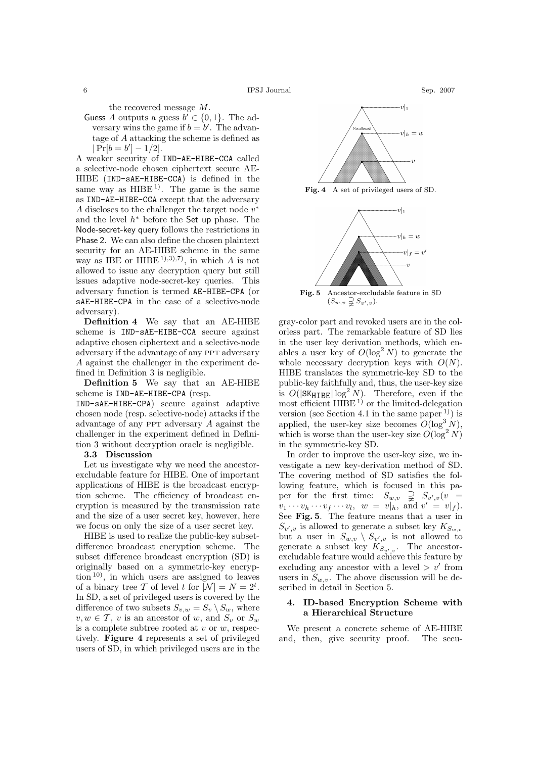the recovered message M.

Guess A outputs a guess  $b' \in \{0, 1\}$ . The adversary wins the game if  $b = b'$ . The advantage of A attacking the scheme is defined as  $|\Pr[b = b'] - 1/2|$ .

A weaker security of IND-AE-HIBE-CCA called a selective-node chosen ciphertext secure AE-HIBE (IND-sAE-HIBE-CCA) is defined in the same way as  $HIBE<sup>1</sup>$ . The game is the same as IND-AE-HIBE-CCA except that the adversary A discloses to the challenger the target node  $v^*$ and the level  $h^*$  before the Set up phase. The Node-secret-key query follows the restrictions in Phase 2. We can also define the chosen plaintext security for an AE-HIBE scheme in the same way as IBE or HIBE<sup>1),3),7)</sup>, in which A is not allowed to issue any decryption query but still issues adaptive node-secret-key queries. This adversary function is termed AE-HIBE-CPA (or sAE-HIBE-CPA in the case of a selective-node adversary).

**Definition 4** We say that an AE-HIBE scheme is IND-sAE-HIBE-CCA secure against adaptive chosen ciphertext and a selective-node adversary if the advantage of any ppt adversary A against the challenger in the experiment defined in Definition 3 is negligible.

**Definition 5** We say that an AE-HIBE scheme is IND-AE-HIBE-CPA (resp.

IND-sAE-HIBE-CPA) secure against adaptive chosen node (resp. selective-node) attacks if the advantage of any ppt adversary A against the challenger in the experiment defined in Definition 3 without decryption oracle is negligible.

# **3.3 Discussion**

Let us investigate why we need the ancestorexcludable feature for HIBE. One of important applications of HIBE is the broadcast encryption scheme. The efficiency of broadcast encryption is measured by the transmission rate and the size of a user secret key, however, here we focus on only the size of a user secret key.

HIBE is used to realize the public-key subsetdifference broadcast encryption scheme. The subset difference broadcast encryption (SD) is originally based on a symmetric-key encryption 10), in which users are assigned to leaves of a binary tree T of level t for  $|\mathcal{N}| = N = 2^t$ . In SD, a set of privileged users is covered by the difference of two subsets  $S_{v,w} = S_v \setminus S_w$ , where  $v, w \in \mathcal{T}$ , v is an ancestor of w, and  $S_v$  or  $S_w$ is a complete subtree rooted at  $v$  or  $w$ , respectively. **Figure 4** represents a set of privileged users of SD, in which privileged users are in the



**Fig. 4** A set of privileged users of SD.



gray-color part and revoked users are in the colorless part. The remarkable feature of SD lies in the user key derivation methods, which enables a user key of  $O(\log^2 N)$  to generate the whole necessary decryption keys with  $O(N)$ . HIBE translates the symmetric-key SD to the public-key faithfully and, thus, the user-key size is  $O(|\mathbf{S}\times\mathbf{H}|\mathbf{B}\times\mathbf{E}| \log^2 N)$ . Therefore, even if the most efficient  $HIBE<sup>1</sup>$  or the limited-delegation version (see Section 4.1 in the same paper  $(1)$ ) is applied, the user-key size becomes  $O(\log^3 N)$ , which is worse than the user-key size  $O(\log^2 N)$ in the symmetric-key SD.

In order to improve the user-key size, we investigate a new key-derivation method of SD. The covering method of SD satisfies the following feature, which is focused in this paper for the first time:  $S_{w,v} \supsetneq S_{v',v}(v) =$  $v_1 \cdots v_h \cdots v_f \cdots v_l$ ,  $w = v|_h$ , and  $v' = v|_f$ . See **Fig. 5**. The feature means that a user in  $S_{v',v}$  is allowed to generate a subset key  $K_{S_{w,v}}$ but a user in  $S_{w,v} \setminus S_{v',v}$  is not allowed to generate a subset key  $K_{S_{v',v}}$ . The ancestor-<br>cycludeble feetune would achieve this feetune by excludable feature would achieve this feature by excluding any ancestor with a level  $> v'$  from users in  $S_{w,v}$ . The above discussion will be described in detail in Section 5.

# **4. ID-based Encryption Scheme with a Hierarchical Structure**

We present a concrete scheme of AE-HIBE and, then, give security proof. The secu-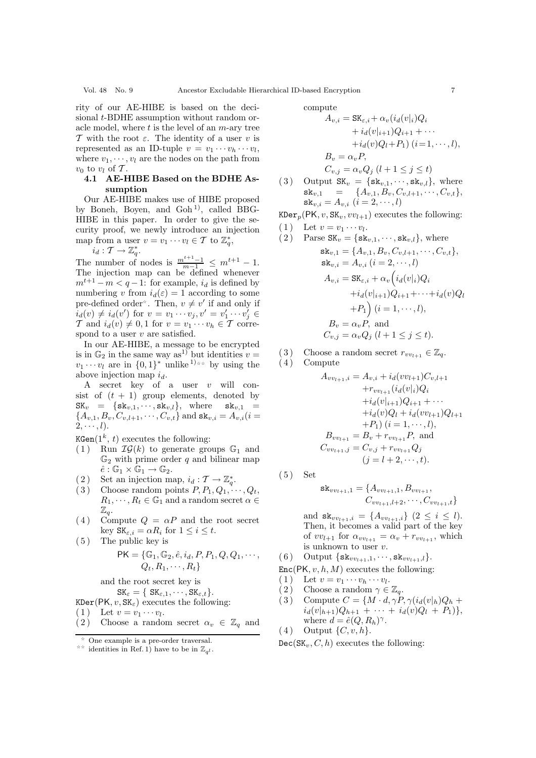rity of our AE-HIBE is based on the decisional t-BDHE assumption without random oracle model, where  $t$  is the level of an  $m$ -ary tree T with the root  $\varepsilon$ . The identity of a user v is represented as an ID-tuple  $v = v_1 \cdots v_h \cdots v_l$ , where  $v_1, \dots, v_l$  are the nodes on the path from  $v_0$  to  $v_l$  of  $\mathcal T$ .

### **4.1 AE-HIBE Based on the BDHE Assumption**

Our AE-HIBE makes use of HIBE proposed by Boneh, Boyen, and  $Goh<sup>1</sup>$ , called BBG-HIBE in this paper. In order to give the security proof, we newly introduce an injection map from a user  $v = v_1 \cdots v_l \in \mathcal{T}$  to  $\mathbb{Z}_q^*$ ,

$$
i_d: \mathcal{T} \to \mathbb{Z}_q^*.
$$

The number of nodes is  $\frac{m^{t+1}-1}{m-1} \leq m^{t+1}-1$ .<br>The injection map can be defined whenever  $m^{t+1} - m < q - 1$ : for example,  $i_d$  is defined by numbering v from  $i_d(\varepsilon) = 1$  according to some pre-defined order. Then,  $v \neq v'$  if and only if  $\tilde{i}_d(v) \neq i_d(v')$  for  $v = v_1 \cdots v_j, v' = v'_1 \cdots v'_j \in$  $\mathcal{T}$  and  $i_d(v) \neq 0, 1$  for  $v = v_1 \cdots v_h \in \mathcal{T}$  correspond to a user  $v$  are satisfied.

In our AE-HIBE, a message to be encrypted is in  $\mathbb{G}_2$  in the same way as<sup>1)</sup> but identities  $v =$  $v_1 \cdots v_l$  are in  $\{0,1\}^*$  unlike  $\binom{1}{k}$  by using the above injection map  $i_d$ .

A secret key of a user v will consist of  $(t + 1)$  group elements, denoted by  $SK_v = \{sk_{v,1}, \cdots, sk_{v,l}\}, \text{ where } sk_{v,1} =$  ${A_{v,1}, B_v, C_{v,l+1}, \cdots, C_{v,t}}$  and  $sk_{v,i} = A_{v,i}$  (*i* =  $2, \cdots, l$ .

KGen $(1^k, t)$  executes the following:

- (1) Run  $\mathcal{IG}(k)$  to generate groups  $\mathbb{G}_1$  and  $\mathbb{G}_2$  with prime order q and bilinear map  $\hat{e} : \mathbb{G}_1 \times \mathbb{G}_1 \to \mathbb{G}_2.$
- (2) Set an injection map,  $i_d : \mathcal{T} \to \mathbb{Z}_q^*$ .
- (3) Choose random points  $P, P_1, Q_1, \dots, Q_t$ ,  $R_1, \dots, R_t \in \mathbb{G}_1$  and a random secret  $\alpha \in$  $\mathbb{Z}_q$ .
- (4) Compute  $Q = \alpha P$  and the root secret key  $\texttt{SK}_{\varepsilon,i} = \alpha R_i$  for  $1 \leq i \leq t$ .
- ( 5 ) The public key is

$$
PK = \{ \mathbb{G}_1, \mathbb{G}_2, \hat{e}, i_d, P, P_1, Q, Q_1, \cdots, Q_t, R_1, \cdots, R_t \}
$$

and the root secret key is

$$
\mathtt{SK}_\varepsilon = \{\ \mathtt{SK}_{\varepsilon,1}, \cdots, \mathtt{SK}_{\varepsilon,t}\}.
$$

 $KDer(PK, v, SK_{\varepsilon})$  executes the following:

 $(1)$  Let  $v = v_1 \cdots v_l$ .

(2) Choose a random secret  $\alpha_v \in \mathbb{Z}_q$  and

$$
_{\rm compute}
$$

$$
A_{v,i} = \text{SK}_{\varepsilon,i} + \alpha_v(i_d(v_i))Q_i
$$
  
+  $i_d(v|_{i+1})Q_{i+1} + \cdots$   
+  $i_d(v)Q_l + P_1$  ( $i = 1, \cdots, l$ ),  

$$
B_v = \alpha_v P,
$$
  

$$
C_{v,j} = \alpha_v Q_j
$$
 ( $l + 1 \le j \le t$ )

(3) Output 
$$
SK_v = \{sk_{v,1}, \dots, sk_{v,l}\}\
$$
, where  
\n $sk_{v,1} = \{A_{v,1}, B_v, C_{v,l+1}, \dots, C_{v,t}\}\$ ,  
\n $sk_{v,i} = A_{v,i} \ (i = 2, \dots, l)$ 

 $KDer_n(PK, v, SK_n, vv_{l+1})$  executes the following:

 $(1)$  Let  $v = v_1 \cdots v_l$ .

(2) Parse 
$$
\text{SK}_v = \{\text{sk}_{v,1}, \dots, \text{sk}_{v,l}\}\text{, where}
$$
  
\n $\text{sk}_{v,1} = \{A_{v,1}, B_v, C_{v,l+1}, \dots, C_{v,t}\}\text{,}$   
\n $\text{sk}_{v,i} = A_{v,i} \ (i = 2, \dots, l)$   
\n $A_{v,i} = \text{SK}_{\varepsilon,i} + \alpha_v \Big( i_d(v|_i) Q_i$   
\n $+ i_d(v|_{i+1}) Q_{i+1} + \dots + i_d(v) Q_l$   
\n $+ P_1 \Big) \ (i = 1, \dots, l),$   
\n $B_v = \alpha_v P$ , and  
\n $C_{v,j} = \alpha_v Q_j \ (l+1 \leq j \leq t).$ 

(3) Choose a random secret  $r_{vv_{l+1}} \in \mathbb{Z}_q$ .<br>(4) Compute Compute

$$
A_{vv_{l+1},i} = A_{v,i} + i_d(vv_{l+1})C_{v,l+1}
$$
  
+
$$
+r_{vv_{l+1}}(i_d(v_i)Q_i
$$
  
+
$$
+i_d(v_{i+1})Q_{i+1} + \cdots
$$
  
+
$$
+i_d(v)Q_l + i_d(vv_{l+1})Q_{l+1}
$$
  
+
$$
P_1) (i = 1, \cdots, l),
$$
  

$$
B_{vv_{l+1}} = B_v + r_{vv_{l+1}}P
$$
, and  

$$
C_{vv_{l+1},j} = C_{v,j} + r_{vv_{l+1}}Q_j
$$
  

$$
(j = l+2, \cdots, t).
$$

$$
(5) Set
$$

$$
\mathbf{sk}_{vv_{l+1},1} = \{A_{vv_{l+1},1}, B_{vv_{l+1}},\\ C_{vv_{l+1},l+2}, \cdots, C_{vv_{l+1},t}\}
$$

and  $\mathbf{sk}_{vv_{l+1},i} = \{A_{vv_{l+1},i}\}$   $(2 \leq i \leq l).$ Then, it becomes a valid part of the key of  $vv_{l+1}$  for  $\alpha_{vv_{l+1}} = \alpha_v + r_{vv_{l+1}}$ , which is unknown to user  $v$ .

(6) Output { $s k_{vv_{l+1},1}, \cdots, s k_{vv_{l+1},l}$  }.

 $Enc(PK, v, h, M)$  executes the following:

- $(1)$  Let  $v = v_1 \cdots v_h \cdots v_l$ .
- (2) Choose a random  $\gamma \in \mathbb{Z}_q$ .
- $(3)$  Compute  $C = \{M \cdot d, \gamma P, \gamma(i_d(v_h))Q_h +$  $i_d(v|_{h+1})Q_{h+1} + \cdots + i_d(v)Q_l + P_1$ , where  $d = \hat{e}(Q, R_h)^\gamma$ .

(4) Output 
$$
\{C, v, h\}
$$
.

 $Dec(SK_v, C, h)$  executes the following:

One example is a pre-order traversal.

identities in Ref. 1) have to be in  $\mathbb{Z}_{d}$ .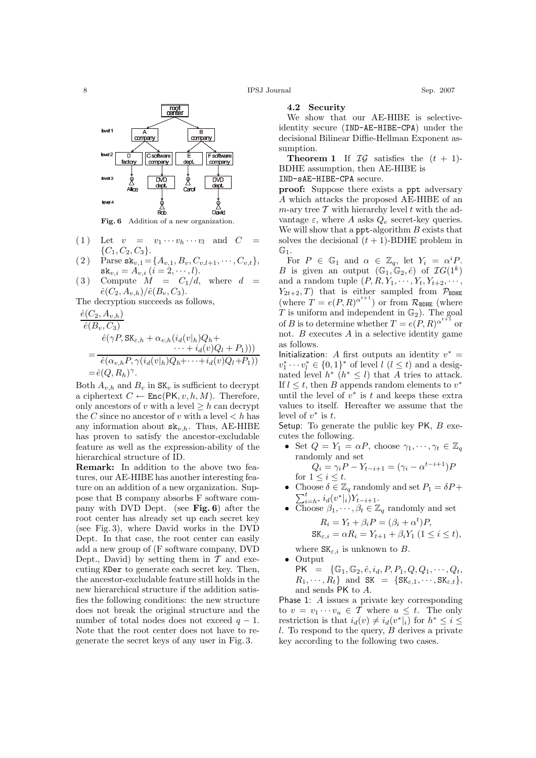

**Fig. 6** Addition of a new organization.

- (1) Let  $v = v_1 \cdots v_h \cdots v_l$  and C  $\{C_1, C_2, C_3\}.$
- ( 2 ) Parse  $sk_{v,1} = \{A_{v,1}, B_v, C_{v,l+1}, \cdots, C_{v,t}\},$  $\mathtt{sk}_{v,i} = A_{v,i}$   $(i = 2, \cdots, l).$
- (3) Compute  $\dot{M} = C_1/d$ , where  $d =$  $\hat{e}(C_2, A_{v,h})/\hat{e}(B_v, C_3).$

The decryption succeeds as follows,

$$
\frac{\hat{e}(C_2, A_{v,h})}{\hat{e}(B_v, C_3)}
$$
\n
$$
\frac{\hat{e}(\gamma P, \text{SK}_{\varepsilon,h} + \alpha_{v,h}(i_d(v|_h)Q_h + \cdots + i_d(v)Q_l + P_1)))}{\cdots + i_d(v)Q_l + P_1)))}
$$
\n
$$
= \hat{e}(Q, R_h)^{\gamma}.
$$

Both  $A_{v,h}$  and  $B_v$  in  $SK_v$  is sufficient to decrypt a ciphertext  $C \leftarrow \text{Enc}(\text{PK}, v, h, M)$ . Therefore, only ancestors of v with a level  $\geq h$  can decrypt the C since no ancestor of v with a level  $\lt h$  has any information about  $sk_{v,h}$ . Thus, AE-HIBE has proven to satisfy the ancestor-excludable feature as well as the expression-ability of the hierarchical structure of ID.

**Remark:** In addition to the above two features, our AE-HIBE has another interesting feature on an addition of a new organization. Suppose that B company absorbs F software company with DVD Dept. (see **Fig. 6**) after the root center has already set up each secret key (see Fig. 3), where David works in the DVD Dept. In that case, the root center can easily add a new group of (F software company, DVD Dept., David) by setting them in  $\mathcal T$  and executing KDer to generate each secret key. Then, the ancestor-excludable feature still holds in the new hierarchical structure if the addition satisfies the following conditions: the new structure does not break the original structure and the number of total nodes does not exceed  $q - 1$ . Note that the root center does not have to regenerate the secret keys of any user in Fig. 3.

#### **4.2 Security**

We show that our AE-HIBE is selectiveidentity secure (IND-AE-HIBE-CPA) under the decisional Bilinear Diffie-Hellman Exponent assumption.

**Theorem 1** If  $I\mathcal{G}$  satisfies the  $(t + 1)$ -BDHE assumption, then AE-HIBE is

IND-sAE-HIBE-CPA secure.

**proof:** Suppose there exists a ppt adversary A which attacks the proposed AE-HIBE of an  $m$ -ary tree  $\mathcal T$  with hierarchy level t with the advantage  $\varepsilon$ , where A asks  $Q_e$  secret-key queries. We will show that a  ${\tt ppt-algorithms}\ B$  exists that solves the decisional  $(t + 1)$ -BDHE problem in  $\mathbb{G}_1.$ 

For  $P \in \mathbb{G}_1$  and  $\alpha \in \mathbb{Z}_q$ , let  $Y_i = \alpha^i P$ . B is given an output  $(\mathbb{G}_1, \mathbb{G}_2, \hat{e})$  of  $\mathcal{I}G(1^k)$ and a random tuple  $(P, R, Y_1, \cdots, Y_t, Y_{t+2}, \cdots,$  $Y_{2t+2}, T$ ) that is either sampled from  $\mathcal{P}_{BDEE}$ (where  $T = e(P, R)^{\alpha^{t+1}}$ ) or from  $\mathcal{R}_{\text{BDHE}}$  (where T is uniform and independent in  $\mathbb{G}_2$ ). The goal of B is to determine whether  $T = e(P, R)^{\alpha^{t+1}}$ or not.  $B$  executes  $A$  in a selective identity game as follows.

Initialization: A first outputs an identity  $v^* =$  $v_1^* \cdots v_l^* \in \{0,1\}^*$  of level  $l$   $(l \leq t)$  and a designated level  $h^*$  ( $h^* \leq l$ ) that A tries to attack. If  $l \leq t$ , then B appends random elements to  $v^*$ until the level of  $v^*$  is t and keeps these extra values to itself. Hereafter we assume that the level of  $v^*$  is  $t$ .

Setup: To generate the public key  $PK$ ,  $B$  executes the following.

- Set  $Q = Y_1 = \alpha P$ , choose  $\gamma_1, \dots, \gamma_t \in \mathbb{Z}_q$ randomly and set  $Q_i = \gamma_i P - Y_{t-i+1} = (\gamma_i - \alpha^{t-i+1})P$ for  $1 \leq i \leq t$ .
- Choose  $\delta \in \mathbb{Z}_q$  randomly and set  $P_1 = \delta P + \sum_{i=1}^t (x_i^*) Y_i$  $\sum_{i=h^*}^t i_d(v^*|_i)Y_{t-i+1}.$
- Choose  $\beta_1, \dots, \beta_t \in \mathbb{Z}_q$  randomly and set  $R = V + \theta R = (\theta$  $\mathbf{r}$

$$
R_i = Y_t + \beta_i P = (\beta_i + \alpha^c)P,
$$
  
\n
$$
SK_{\varepsilon,i} = \alpha R_i = Y_{t+1} + \beta_i Y_1 \ (1 \le i \le t),
$$

where  $SK_{\varepsilon,i}$  is unknown to B.

• Output  $PK = {\mathbb{G}_1, \mathbb{G}_2, \hat{e}, i_d, P, P_1, Q, Q_1, \cdots, Q_t,}$  $R_1, \cdots, R_t$  and  $SK = \{SK_{\varepsilon,1}, \cdots, SK_{\varepsilon,t}\},\$ and sends PK to A.

Phase 1: A issues a private key corresponding to  $v = v_1 \cdots v_u \in \mathcal{T}$  where  $u \leq t$ . The only restriction is that  $i_d(v) \neq i_d(v^*|_i)$  for  $h^* \leq i \leq$ l. To respond to the query,  $B$  derives a private key according to the following two cases.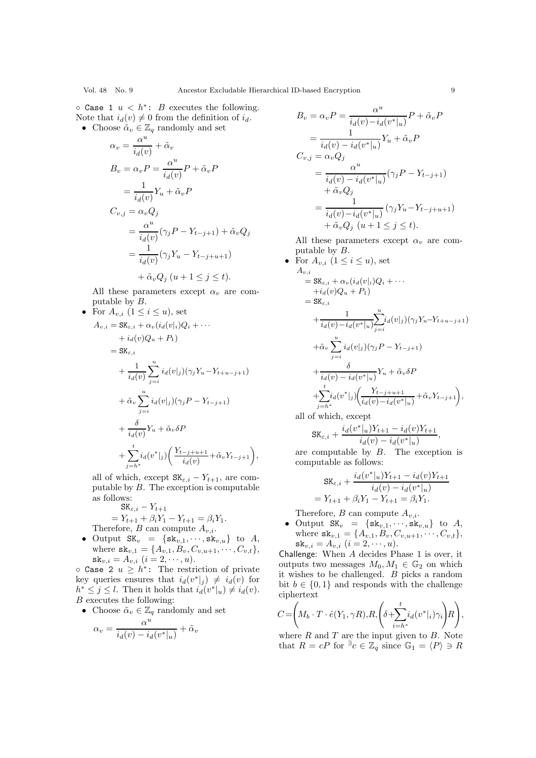◦ Case 1  $u < h$ <sup>\*</sup>: *B* executes the following. Note that  $i_d(v) \neq 0$  from the definition of  $i_d$ .

• Choose  $\tilde{\alpha}_v \in \mathbb{Z}_q$  randomly and set

$$
\alpha_v = \frac{\alpha^u}{i_d(v)} + \tilde{\alpha}_v
$$
  
\n
$$
B_v = \alpha_v P = \frac{\alpha^u}{i_d(v)} P + \tilde{\alpha}_v P
$$
  
\n
$$
= \frac{1}{i_d(v)} Y_u + \tilde{\alpha}_v P
$$
  
\n
$$
C_{v,j} = \alpha_v Q_j
$$
  
\n
$$
= \frac{\alpha^u}{i_d(v)} (\gamma_j P - Y_{t-j+1}) + \tilde{\alpha}_v Q_j
$$
  
\n
$$
= \frac{1}{i_d(v)} (\gamma_j Y_u - Y_{t-j+u+1})
$$
  
\n
$$
+ \tilde{\alpha}_v Q_j (u+1 \le j \le t).
$$

All these parameters except  $\alpha_v$  are computable by B.

• For 
$$
A_{v,i}
$$
  $(1 \le i \le u)$ , set  
\n
$$
A_{v,i} = \text{SK}_{\varepsilon,i} + \alpha_v(i_d(v_i)Q_i + \cdots + i_d(v)Q_u + P_1)
$$
\n
$$
= \text{SK}_{\varepsilon,i} + \frac{1}{i_d(v)} \sum_{j=i}^u i_d(v|_j) (\gamma_j Y_u - Y_{t+u-j+1})
$$
\n
$$
+ \tilde{\alpha}_v \sum_{j=i}^u i_d(v|_j) (\gamma_j P - Y_{t-j+1})
$$
\n
$$
+ \frac{\delta}{i_d(v)} Y_u + \tilde{\alpha}_v \delta P
$$
\n
$$
+ \sum_{j=h^*}^t i_d(v^*|_j) \left( \frac{Y_{t-j+u+1}}{i_d(v)} + \tilde{\alpha}_v Y_{t-j+1} \right),
$$

all of which, except  $SK_{\varepsilon,i} - Y_{t+1}$ , are computable by  $B$ . The exception is computable as follows:

$$
SK_{\varepsilon,i} - Y_{t+1}
$$
  
=  $Y_{t+1} + \beta_i Y_1 - Y_{t+1} = \beta_i Y_1$ .  
Therefore, *B* can compute  $A_{v,i}$ .

• Output  $SK_v = \{sk_{v,1}, \cdots, sk_{v,u}\}\$  to A, where  $\mathtt{sk}_{v,1} = \{A_{v,1}, B_{v}, C_{v,u+1}, \cdots, C_{v,t}\},$  $sk_{v,i} = A_{v,i} \ (i = 2, \dots, u).$ 

 $\circ$  Case 2  $u \geq h^*$ : The restriction of private key queries ensures that  $i_d(v^*|_j) \neq i_d(v)$  for  $h^* \leq j \leq l$ . Then it holds that  $i_d(v^*|_u) \neq i_d(v)$ . B executes the following:

• Choose  $\tilde{\alpha}_v \in \mathbb{Z}_q$  randomly and set

$$
\alpha_v = \frac{\alpha^u}{i_d(v) - i_d(v^*|_u)} + \tilde{\alpha}_v
$$

$$
B_v = \alpha_v P = \frac{\alpha^u}{i_d(v) - i_d(v^*|_u)} P + \tilde{\alpha}_v P
$$
  
\n
$$
= \frac{1}{i_d(v) - i_d(v^*|_u)} Y_u + \tilde{\alpha}_v P
$$
  
\n
$$
C_{v,j} = \alpha_v Q_j
$$
  
\n
$$
= \frac{\alpha^u}{i_d(v) - i_d(v^*|_u)} (\gamma_j P - Y_{t-j+1})
$$
  
\n
$$
+ \tilde{\alpha}_v Q_j
$$
  
\n
$$
= \frac{1}{i_d(v) - i_d(v^*|_u)} (\gamma_j Y_u - Y_{t-j+u+1})
$$
  
\n
$$
+ \tilde{\alpha}_v Q_j (u+1 \le j \le t).
$$

All these parameters except  $\alpha_v$  are computable by B.

• For 
$$
A_{v,i}
$$
  $(1 \le i \le u)$ , set  
\n
$$
A_{v,i} = \text{SK}_{\varepsilon,i} + \alpha_v (i_d(v|_i)Q_i + \cdots + i_d(v)Q_u + P_1)
$$
\n
$$
= \text{SK}_{\varepsilon,i} + \frac{1}{i_d(v) - i_d(v^*|_u)} \sum_{j=i}^{u} i_d(v|_j) (\gamma_j Y_u - Y_{t+u-j+1}) + \tilde{\alpha}_v \sum_{j=i}^{u} i_d(v|_j) (\gamma_j P - Y_{t-j+1}) + \frac{\delta}{i_d(v) - i_d(v^*|_u)} Y_u + \tilde{\alpha}_v \delta P + \sum_{j=h^*}^{t} i_d(v^*|_j) \left( \frac{Y_{t-j+u+1}}{i_d(v) - i_d(v^*|_u)} + \tilde{\alpha}_v Y_{t-j+1} \right),
$$

all of which, except

$$
\texttt{SK}_{\varepsilon,i} + \frac{i_d(v^*|_u)Y_{t+1} - i_d(v)Y_{t+1}}{i_d(v) - i_d(v^*|_u)},
$$

are computable by  $B$ . The exception is computable as follows:

$$
SK_{\varepsilon,i} + \frac{i_d(v^*|_u)Y_{t+1} - i_d(v)Y_{t+1}}{i_d(v) - i_d(v^*|_u)}
$$
  
=  $Y_{t+1} + \beta_i Y_1 - Y_{t+1} = \beta_i Y_1.$ 

Therefore, B can compute  $A_{v,i}$ .

• Output  $SK_v = \{sk_{v,1}, \cdots, sk_{v,u}\}\$ to A, where  $\mathtt{sk}_{v,1} = \{A_{v,1}, B_{v}, C_{v,u+1}, \cdots, C_{v,t}\},\$  $\mathtt{sk}_{v,i} = A_{v,i} \ (i = 2, \cdots, u).$ 

Challenge: When A decides Phase 1 is over, it outputs two messages  $M_0, M_1 \in \mathbb{G}_2$  on which it wishes to be challenged. B picks a random bit  $b \in \{0,1\}$  and responds with the challenge ciphertext

$$
C = \left(M_b \cdot T \cdot \hat{e}(Y_1, \gamma R), R, \left(\delta + \sum_{i=h^*}^{t} i_d(v^*|_i) \gamma_i\right) R\right),
$$

where  $R$  and  $T$  are the input given to  $B$ . Note that  $R = cP$  for  $\overline{z}_c \in \mathbb{Z}_q$  since  $\mathbb{G}_1 = \langle P \rangle \ni R$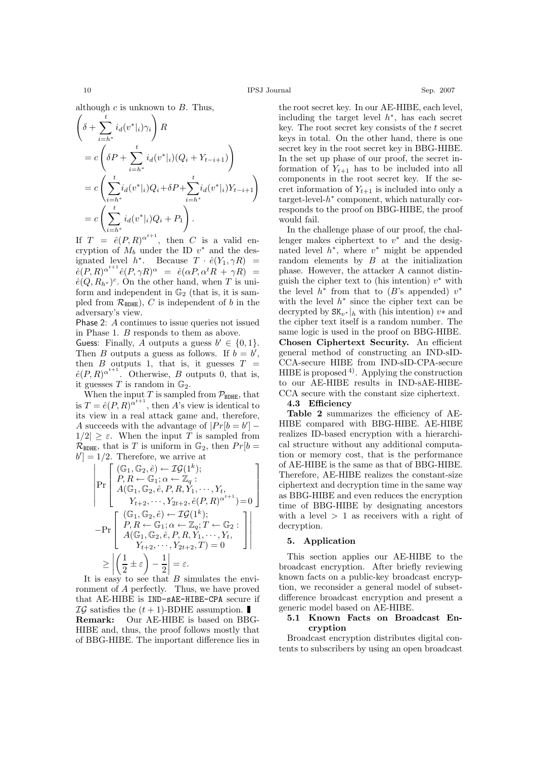$\Delta$ 

$$
\left(\delta + \sum_{i=h^*}^t i_d(v^*|_i)\gamma_i\right)R
$$
\n
$$
= c\left(\delta P + \sum_{i=h^*}^t i_d(v^*|_i)(Q_i + Y_{t-i+1})\right)
$$
\n
$$
= c\left(\sum_{i=h^*}^t i_d(v^*|_i)Q_i + \delta P + \sum_{i=h^*}^t i_d(v^*|_i)Y_{t-i+1}\right)
$$
\n
$$
= c\left(\sum_{i=h^*}^t i_d(v^*|_i)Q_i + P_1\right).
$$

If  $T = \hat{e}(P, R)^{\alpha^{t+1}}$ , then C is a valid encryption of  $M_b$  under the ID  $v^*$  and the designated level  $h^*$ . Because  $T \cdot \hat{e}(Y_1, \gamma R) =$  $\widetilde{e}(P,R)^{\alpha^{t+1}}\widehat{e}(P,\gamma R)^\alpha\,\,=\,\,\widehat{e}(\alpha P,\alpha^t R \,+\, \gamma R)\,\,=\,\,$  $\hat{e}(Q, R_{h^*})^c$ . On the other hand, when T is uniform and independent in  $\mathbb{G}_2$  (that is, it is sampled from  $\mathcal{R}_{\text{RDFE}}$ , C is independent of b in the adversary's view.

Phase 2: A continues to issue queries not issued in Phase 1. B responds to them as above.

Guess: Finally, A outputs a guess  $b' \in \{0, 1\}.$ Then B outputs a guess as follows. If  $b = b'$ , then B outputs 1, that is, it guesses  $T =$  $\hat{e}(P, R)^{\alpha^{t+1}}$ . Otherwise, *B* outputs 0, that is, it guesses  $T$  is random in  $\mathbb{G}_2$ .

When the input T is sampled from  $\mathcal{P}_{\text{BDHE}}$ , that is  $T = \hat{e}(P, R)^{\alpha^{t+1}}$ , then A's view is identical to its view in a real attack game and, therefore, A succeeds with the advantage of  $|Pr[b = b'] 1/2 \geq \varepsilon$ . When the input T is sampled from  $\mathcal{R}_{\text{BDHE}}$ , that is T is uniform in  $\mathbb{G}_2$ , then  $Pr[b =$  $b'$  = 1/2. Therefore, we arrive at

$$
\left| \Pr \left[ \begin{array}{l} (\mathbb{G}_1, \mathbb{G}_2, \hat{e}) \leftarrow \mathcal{IG}(1^k); \\ P, R \leftarrow \mathbb{G}_1; \alpha \leftarrow \mathbb{Z}_q: \\ A(\mathbb{G}_1, \mathbb{G}_2, \hat{e}, P, R, Y_1, \cdots, Y_t, \\ Y_{t+2}, \cdots, Y_{2t+2}, \hat{e}(P, R)^{\alpha^{t+1}}) = 0 \end{array} \right] \right|
$$
\n
$$
- \Pr \left[ \begin{array}{l} (\mathbb{G}_1, \mathbb{G}_2, \hat{e}) \leftarrow \mathcal{IG}(1^k); \\ P, R \leftarrow \mathbb{G}_1; \alpha \leftarrow \mathbb{Z}_q; T \leftarrow \mathbb{G}_2: \\ A(\mathbb{G}_1, \mathbb{G}_2, \hat{e}, P, R, Y_1, \cdots, Y_t, \\ Y_{t+2}, \cdots, Y_{2t+2}, T) = 0 \end{array} \right] \right|
$$
\n
$$
\geq \left| \left( \frac{1}{2} \pm \varepsilon \right) - \frac{1}{2} \right| = \varepsilon.
$$

It is easy to see that B simulates the environment of A perfectly. Thus, we have proved that AE-HIBE is IND-sAE-HIBE-CPA secure if  $IG$  satisfies the  $(t + 1)$ -BDHE assumption. **Remark:** Our AE-HIBE is based on BBG-HIBE and, thus, the proof follows mostly that of BBG-HIBE. The important difference lies in

the root secret key. In our AE-HIBE, each level, including the target level  $h^*$ , has each secret key. The root secret key consists of the  $t$  secret keys in total. On the other hand, there is one secret key in the root secret key in BBG-HIBE. In the set up phase of our proof, the secret information of  $Y_{t+1}$  has to be included into all components in the root secret key. If the secret information of  $Y_{t+1}$  is included into only a target-level- $h^*$  component, which naturally corresponds to the proof on BBG-HIBE, the proof would fail.

In the challenge phase of our proof, the challenger makes ciphertext to  $v^*$  and the designated level  $h^*$ , where  $v^*$  might be appended random elements by  $B$  at the initialization phase. However, the attacker A cannot distinguish the cipher text to (his intention)  $v^*$  with the level  $h^*$  from that to (B's appended)  $v^*$ with the level  $h^*$  since the cipher text can be decrypted by  $SK_{v^*}|_h$  with (his intention)  $v^*$  and the cipher text itself is a random number. The same logic is used in the proof on BBG-HIBE. **Chosen Ciphertext Security.** An efficient general method of constructing an IND-sID-CCA-secure HIBE from IND-sID-CPA-secure HIBE is proposed  $4^{\circ}$ . Applying the construction to our AE-HIBE results in IND-sAE-HIBE-CCA secure with the constant size ciphertext.

**4.3 Efficiency**

**Table 2** summarizes the efficiency of AE-HIBE compared with BBG-HIBE. AE-HIBE realizes ID-based encryption with a hierarchical structure without any additional computation or memory cost, that is the performance of AE-HIBE is the same as that of BBG-HIBE. Therefore, AE-HIBE realizes the constant-size ciphertext and decryption time in the same way as BBG-HIBE and even reduces the encryption time of BBG-HIBE by designating ancestors with a level  $> 1$  as receivers with a right of decryption.

#### **5. Application**

This section applies our AE-HIBE to the broadcast encryption. After briefly reviewing known facts on a public-key broadcast encryption, we reconsider a general model of subsetdifference broadcast encryption and present a generic model based on AE-HIBE.

# **5.1 Known Facts on Broadcast Encryption**

Broadcast encryption distributes digital contents to subscribers by using an open broadcast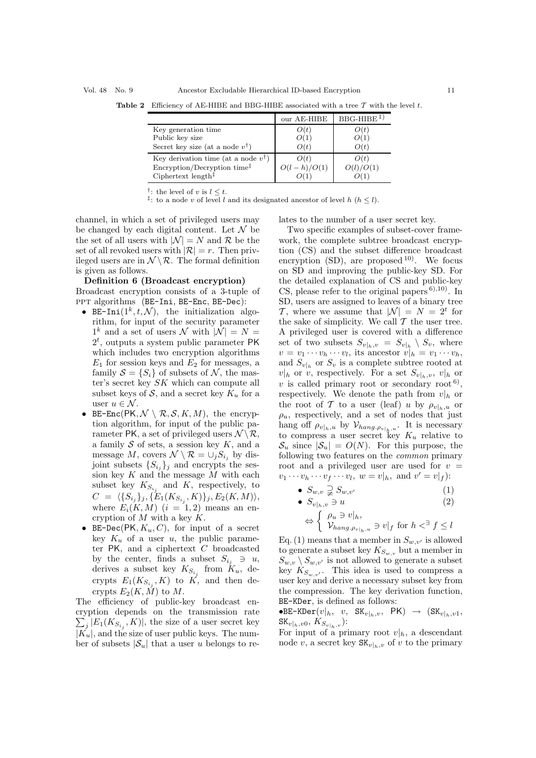**Table 2** Efficiency of AE-HIBE and BBG-HIBE associated with a tree <sup>T</sup> with the level *<sup>t</sup>*.

|                                                                                                                                                 | our AE-HIBE           | $BBG-HIBE$ <sup>1)</sup> |
|-------------------------------------------------------------------------------------------------------------------------------------------------|-----------------------|--------------------------|
| Key generation time<br>Public key size<br>Secret key size (at a node $v^{\dagger}$ )                                                            | O(t)                  |                          |
| Key derivation time (at a node $v^{\dagger}$ )<br>Encryption/Decryption time <sup>‡</sup><br>Ciphertext length <sup><math>\ddagger</math></sup> | O(t)<br>$O(l-h)/O(1)$ | O(t)<br>O(l)/O(1)        |

<sup>†</sup>: the level of *v* is  $l \leq t$ .<br><sup>‡</sup>: to a node *v* of level *l* and its designated ancestor of level *h* (*h*  $\leq l$ ).

channel, in which a set of privileged users may be changed by each digital content. Let  $\mathcal N$  be the set of all users with  $|\mathcal{N}| = N$  and R be the set of all revoked users with  $|\mathcal{R}| = r$ . Then privileged users are in  $\mathcal{N} \setminus \mathcal{R}$ . The formal definition is given as follows.

**Definition 6 (Broadcast encryption)** Broadcast encryption consists of a 3-tuple of ppt algorithms (BE-Ini, BE-Enc, BE-Dec):

- BE-Ini $(1^k, t, \mathcal{N})$ , the initialization algorithm, for input of the security parameter  $1^k$  and a set of users N with  $|\mathcal{N}| = N =$  $2<sup>t</sup>$ , outputs a system public parameter PK which includes two encryption algorithms  $E_1$  for session keys and  $E_2$  for messages, a family  $S = \{S_i\}$  of subsets of N, the master's secret key SK which can compute all subset keys of  $S$ , and a secret key  $K_u$  for a user  $u \in \mathcal{N}$ .
- BE-Enc(PK,  $\mathcal{N} \setminus \mathcal{R}, \mathcal{S}, K, M$ ), the encryption algorithm, for input of the public parameter PK, a set of privileged users  $\mathcal{N} \setminus \mathcal{R}$ , a family  $S$  of sets, a session key  $K$ , and a message M, covers  $\mathcal{N} \setminus \mathcal{R} = \bigcup_j S_{i_j}$  by disjoint subsets  $\{S_{i_j}\}_j$  and encrypts the session key  $K$  and the message  $M$  with each subset key  $K_{S_{ij}}$  and K, respectively, to  $C = \langle \{S_{i_j}\}_j, \{E_1(K_{S_{i_j}}, K)\}_j, E_2(K, M)\rangle,$ <br>where  $F(K, M)$   $(k-1, 2)$  means an an where  $E_i(K,M)$   $(i = 1, 2)$  means an encryption of  $M$  with a key  $K$ .
- BE-Dec(PK,  $K_u$ , C), for input of a secret key  $K_u$  of a user u, the public parameter PK, and a ciphertext  $C$  broadcasted by the center, finds a subset  $S_{i_j} \ni u_j$ , derives a subset key  $K_{S_{i_j}}$  from  $K_u$ , decrypts  $E_1(K_{S_{i_j}}, K)$  to  $K$ , and then decrypts  $E_2(K, M)$  to M.

The efficiency of public-key broadcast encryption depends on the transmission rate  $\sum_{i=1}^{s} |E_1(K_{S_{ij}}, K)|$ , the size of a user secret key  $|K_u|$ , and the size of user public keys. The number of subsets  $|\mathcal{S}_u|$  that a user u belongs to relates to the number of a user secret key.

Two specific examples of subset-cover framework, the complete subtree broadcast encryption (CS) and the subset difference broadcast encryption  $(SD)$ , are proposed  $10$ . We focus on SD and improving the public-key SD. For the detailed explanation of CS and public-key CS, please refer to the original papers  $^{6}$ , 10). In SD, users are assigned to leaves of a binary tree T, where we assume that  $|\mathcal{N}| = N = 2^t$  for the sake of simplicity. We call  $\mathcal T$  the user tree. A privileged user is covered with a difference set of two subsets  $S_{v|h,v} = S_{v|h} \setminus S_v$ , where  $v = v_1 \cdots v_h \cdots v_l$ , its ancestor  $v|_h = v_1 \cdots v_h$ , and  $S_{v|h}$  or  $S_v$  is a complete subtree rooted at  $v|_h$  or v, respectively. For a set  $S_{v|_h,v}$ ,  $v|_h$  or v is called primary root or secondary root  $^{6}$ , respectively. We denote the path from  $v|_h$  or the root of T to a user (leaf) u by  $\rho_{v|_h,u}$  or  $\rho_u$ , respectively, and a set of nodes that just hang off  $\rho_{v|_h,u}$  by  $\mathcal{V}_{hang.\rho_{v|_h,u}}$ . It is necessary to compress a user secret key  $K_u$  relative to  $\mathcal{S}_u$  since  $|\mathcal{S}_u| = O(N)$ . For this purpose, the following two features on the *common* primary root and a privileged user are used for  $v =$  $v_1 \cdots v_h \cdots v_f \cdots v_l$ ,  $w = v|_h$ , and  $v' = v|_f$ :

> •  $S_{w,v} \supsetneq S_{w,v'}$  $(1)$

• 
$$
S_{v|_h, v} \ni u
$$
 (2)  
\n $\Leftrightarrow \begin{cases} \rho_u \ni v|_h, \\ \mathcal{V}_{hang, \rho_{v|_h, u}} \ni v|_f \text{ for } h <^{\exists} f \le l \end{cases}$ 

Eq. (1) means that a member in  $S_{w,v'}$  is allowed to generate a subset key  $K_{S_{w,v}}$  but a member in  $S_{w,v} \setminus S_{w,v'}$  is not allowed to generate a subset  $\frac{1}{100}$  K<sub>Sw,v</sub>.. This idea is used to compress a user key and derive a necessary subset key from the compression. The key derivation function, BE-KDer, is defined as follows:

 $\bullet$ BE-KDer $(v|_h, v, \mathsf{SK}_{v|_h,v}, \mathsf{PK}) \rightarrow (\mathsf{SK}_{v|_h,v1}, \mathsf{PK})$  $SK_{v|_h,v0}, \hat{K}_{S_{v|_h,v}})$ :

For input of a primary root  $v|_h$ , a descendant node v, a secret key  $SK_{v|_h,v}$  of v to the primary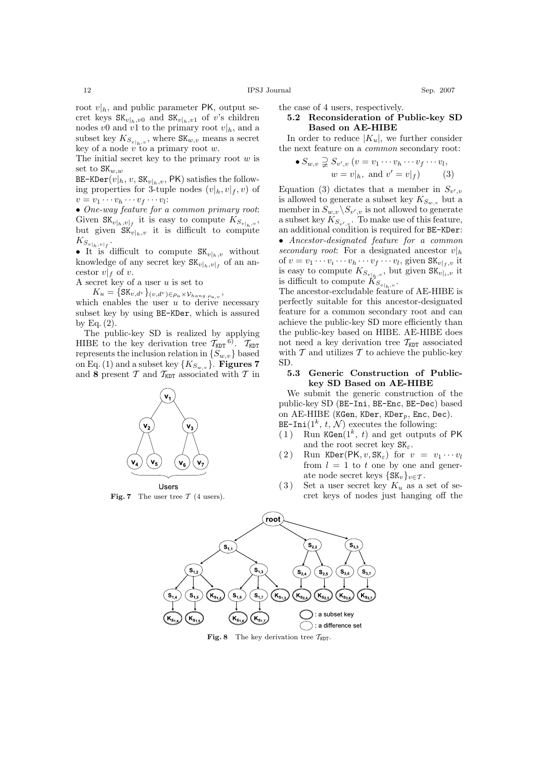root  $v|_h$ , and public parameter PK, output secret keys  $SK_{v|_h,v0}$  and  $SK_{v|_h,v1}$  of v's children nodes v0 and v1 to the primary root  $v|_h$ , and a subset key  $K_{S_{v|_h,v}}$ , where  $\text{SK}_{w,v}$  means a secret key of a node  $v$  to a primary root  $w$ .

The initial secret key to the primary root  $w$  is set to  $\mathtt{SK}_{w,w}$ 

BE-KDer $(v|_h, v, \text{SK}_{v|_h,v}, \text{PK})$  satisfies the following properties for 3-tuple nodes  $(v|_h, v|_f, v)$  of  $v = v_1 \cdots v_h \cdots v_f \cdots v_l$ :

• *One-way feature for a common primary root*: Given  $SK_{v|_h,v|_f}$  it is easy to compute  $K_{S_{v|_h,v}}$ , but given  $SK_{v|_h,v}$  it is difficult to compute  $K_{S_{v|h}, v|_f}$ .

• It is difficult to compute  $SK_{v|_h,v}$  without knowledge of any secret key  $\mathbf{SK}_{v|_h,v|_f}$  of an ancestor  $v|_f$  of v.

A secret key of a user  $u$  is set to

 $K_u = \{ \texttt{SK}_{v,d^v} \}_{(v,d^v) \in \rho_u \times \mathcal{V}_{hang.\rho_{u,v}}},$ 

which enables the user  $u$  to derive necessary subset key by using BE-KDer, which is assured by Eq.  $(2)$ .

The public-key SD is realized by applying HIBE to the key derivation tree  $T_{KDT}$ <sup>6)</sup>.  $T_{KDT}$ represents the inclusion relation in  $\{S_{w,v}\}$  based on Eq. (1) and a subset key  $\{K_{S_{w,v}}\}$ . **Figures 7** and  ${\bf 8}$  present  ${\cal T}$  and  ${\cal T}_{\tt KDT}$  associated with  ${\cal T}$  in



Users **Fig. 7** The user tree  $T$  (4 users).

the case of 4 users, respectively.

# **5.2 Reconsideration of Public-key SD Based on AE-HIBE**

In order to reduce  $|K_u|$ , we further consider the next feature on a *common* secondary root:

• 
$$
S_{w,v} \supsetneq S_{v',v}
$$
  $(v = v_1 \cdots v_h \cdots v_f \cdots v_l,$   
\n $w = v|_h$ , and  $v' = v|_f$  (3)

Equation (3) dictates that a member in  $S_{v',v}$ is allowed to generate a subset key  $K_{S_{w,v}}$  but a member in  $S_{w,v} \backslash S_{v',v}$  is not allowed to generate a subset key  $K_{S_v}$ . To make use of this feature, a subset  $\lim_{y \to \infty} \frac{1}{y} \sum_{y} \frac{1}{y}$  and  $\lim_{y \to \infty} \frac{1}{y} \frac{1}{y} \frac{1}{y} \frac{1}{y} \frac{1}{y}$  and additional condition is required for BE-KDer: • *Ancestor-designated feature for a common secondary root*: For a designated ancestor  $v|_h$ of  $v = v_1 \cdots v_i \cdots v_h \cdots v_f \cdots v_l$ , given  $\mathbf{SK}_{v|f, v}$  it is easy to compute  $K_{S_{v|h}$ ,*v*, but given  $SK_{v|i,v}$  it is difficult to compute  $K_{\infty}$ is difficult to compute  $K_{S_{v|h,v}}$ .<br>The ancestor-excludable feature

The ancestor-excludable feature of AE-HIBE is perfectly suitable for this ancestor-designated feature for a common secondary root and can achieve the public-key SD more efficiently than the public-key based on HIBE. AE-HIBE does not need a key derivation tree  $\mathcal{T}_{\text{KDT}}$  associated with  $T$  and utilizes  $T$  to achieve the public-key SD.

# **5.3 Generic Construction of Publickey SD Based on AE-HIBE**

We submit the generic construction of the public-key SD (BE-Ini, BE-Enc, BE-Dec) based on AE-HIBE (KGen, KDer, KDer<sub>n</sub>, Enc, Dec). BE-Ini $(1^k, t, \mathcal{N})$  executes the following:

- (1) Run KGen( $1^k$ , t) and get outputs of PK and the root secret key  $SK_{\varepsilon}$ .
- (2) Run KDer(PK,  $v, SK_{\epsilon}$ ) for  $v = v_1 \cdots v_l$ from  $l = 1$  to t one by one and generate node secret keys  $\{SK_v\}_{v \in \mathcal{T}}$ .
- $(3)$  Set a user secret key  $K_u$  as a set of secret keys of nodes just hanging off the

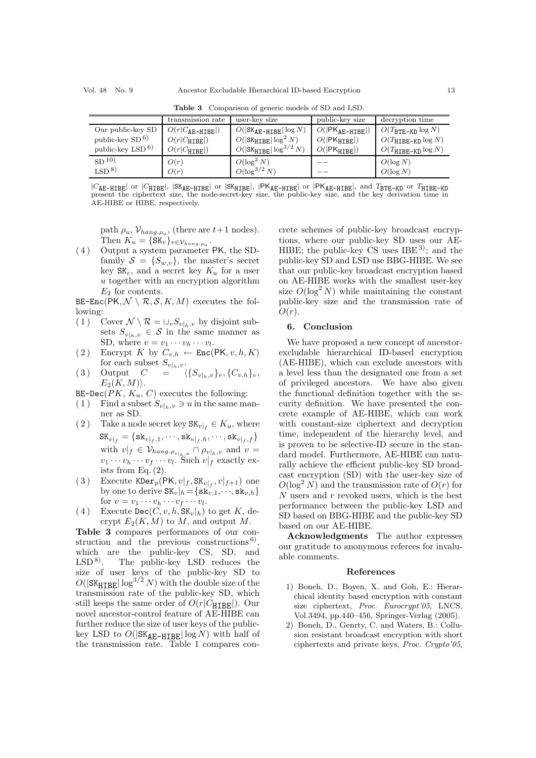| <b>Taste o</b> comparison or generic models or see and note. |                            |                                                |                                       |                                |  |  |  |  |
|--------------------------------------------------------------|----------------------------|------------------------------------------------|---------------------------------------|--------------------------------|--|--|--|--|
|                                                              | transmission rate          | user-key size                                  | public-key size                       | decryption time                |  |  |  |  |
| Our public-key SD                                            | $O(r C_{\text{AE-HTBE}} )$ | $O( SK_{\text{AE-HTBE}}  \log N)$              | $O( \mathsf{PK}_{\mathsf{AE-HIBE}} )$ | $O(T_{\text{BTE-KD}} \log N)$  |  |  |  |  |
| public-key SD $^{6)}$                                        | $O(r C_{\text{HTBE}} )$    | $O( SK_{\text{HIBE}}  \log^2 N)$               | $O( \mathsf{PK}_{\mathsf{HIBE}} )$    | $O(T_{\text{HIBE-KD}} \log N)$ |  |  |  |  |
| public-key LSD <sup>6)</sup>                                 | $O(r C_{\text{HTBE}} )$    | $O( \mathtt{SK}_{\texttt{HIBE}} \log^{3/2} N)$ | $O( PK_{\text{HIBE}} )$               | $O(T_{\text{HIBE-KD}} \log N)$ |  |  |  |  |
| SD <sup>10</sup>                                             | O(r)                       | $O(\log^2 N)$                                  |                                       | $O(\log N)$                    |  |  |  |  |
| LSD <sup>8</sup>                                             | O(r)                       | $O(\log^{3/2} N)$                              |                                       | $O(\log N)$                    |  |  |  |  |

**Table 3** Comparison of generic models of SD and LSD.

|*C*AE-HIBE| or |*C*HIBE|, |SKAE-HIBE| or |SKHIBE|, |PKAE-HIBE| or |PKAE-HIBE|, and *T*BTE-KD or *T*HIBE-KD present the ciphertext size, the node-secret-key size, the public-key size, and the key derivation time in AE-HIBE or HIBE, respectively.

path  $\rho_u$ ,  $\mathcal{V}_{hang.\rho_u}$ , (there are  $t+1$  nodes). Then  $K_u = \{ \mathbf{S} K_v \}_{v \in \mathcal{V}_{hang, \rho_u}}$ .<br>
(4) Output a system parameter PK, the SD-

family  $S = \{S_{w,v}\}\$ , the master's secret key  $SK_{\varepsilon}$ , and a secret key  $K_u$  for a user u together with an encryption algorithm  $E_2$  for contents.

BE-Enc(PK,  $\mathcal{N} \setminus \mathcal{R}, \mathcal{S}, K, M$ ) executes the following:

- (1) Cover  $\mathcal{N} \setminus \mathcal{R} = \bigcup_{v} S_{v|_{h},v}$  by disjoint subsets  $S_{v|_{h},v} \in \mathcal{S}$  in the same manner as SD, where  $v = v_1 \cdots v_h \cdots v_l$ .
- (2) Encrypt K by  $C_{v,h} \leftarrow \text{Enc}(\text{PK}, v, h, K)$ for each subset  $S_{v|_h,v}$ .<br>Output  $C = \langle$
- (3) Output  $C = \langle \{S_{v|_h,v}\}_v, \{C_{v,h}\}_v,$  $E_2(K,M)\rangle.$
- BE-Dec( $PK, K_u, C$ ) executes the following:
- (1) Find a subset  $S_{v|_h,v} \ni u$  in the same manner as SD.
- (2) Take a node secret key  $\mathbf{SK}_{v|f} \in K_u$ , where  $SK_{v|_{f}} = \{ sk_{v|_{f},1}, \cdots, sk_{v|_{f},h}, \cdots, sk_{v|_{f},f} \}$ with  $v|_f \in \mathcal{V}_{hang.\rho_{v|_h,u}} \cap \rho_{v|_h,v}$  and  $v = v_1 \cdots v_h \cdots v_f \cdots v_l$ . Such  $v|_f$  exactly exists from Eq.  $(2)$ .
- (3) Execute KDer<sub>p</sub>(PK,  $v|_f$ , SK<sub>v|f</sub>,  $v|_{f+1}$ ) one by one to derive  $SK_v|_h = \{sk_{v,1},\dots, sk_{v,h}\}\$ for  $v = v_1 \cdots v_h \cdots v_f \cdots v_l$ .
- (4) Execute Dec(C, v, h,  $SK_v|_h$ ) to get K, decrypt  $E_2(K,M)$  to M, and output M.

**Table 3** compares performances of our construction and the previous constructions  $6$ , which are the public-key CS, SD, and  $LSD<sup>8</sup>$ . The public-key LSD reduces the size of user keys of the public-key SD to  $O(|SK_{\text{HIBE}}| \log^{3/2} N)$  with the double size of the transmission rate of the public-key SD, which still keeps the same order of  $O(r|C_{\text{HIBE}}|)$ . Our novel ancestor-control feature of AE-HIBE can further reduce the size of user keys of the publickey LSD to  $O(|SK_{AE-HIBE}| \log N)$  with half of the transmission rate. Table 1 compares con-

crete schemes of public-key broadcast encryptions, where our public-key SD uses our AE-HIBE; the public-key CS uses IBE  $3$ ); and the public-key SD and LSD use BBG-HIBE. We see that our public-key broadcast encryption based on AE-HIBE works with the smallest user-key size  $O(\log^2 N)$  while maintaining the constant public-key size and the transmission rate of  $O(r)$ .

#### **6. Conclusion**

We have proposed a new concept of ancestorexcludable hierarchical ID-based encryption (AE-HIBE), which can exclude ancestors with a level less than the designated one from a set of privileged ancestors. We have also given the functional definition together with the security definition. We have presented the concrete example of AE-HIBE, which can work with constant-size ciphertext and decryption time, independent of the hierarchy level, and is proven to be selective-ID secure in the standard model. Furthermore, AE-HIBE can naturally achieve the efficient public-key SD broadcast encryption (SD) with the user-key size of  $O(\log^2 N)$  and the transmission rate of  $O(r)$  for  $N$  users and  $r$  revoked users, which is the best performance between the public-key LSD and SD based on BBG-HIBE and the public-key SD based on our AE-HIBE.

**Acknowledgments** The author expresses our gratitude to anonymous referees for invaluable comments.

#### **References**

- 1) Boneh, D., Boyen, X. and Goh, E.: Hierarchical identity based encryption with constant size ciphertext, *Proc. Eurocrypt'05*, LNCS, Vol.3494, pp.440–456, Springer-Verlag (2005).
- 2) Boneh, D., Genrty, C. and Waters, B.: Collusion resistant broadcast encryption with short ciphertexts and private keys, *Proc. Crypto'05*,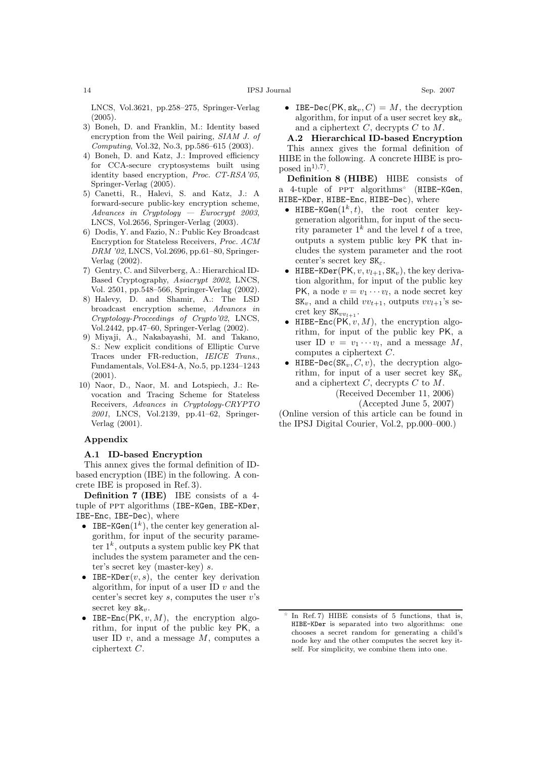LNCS, Vol.3621, pp.258–275, Springer-Verlag  $(2005).$ 

- 3) Boneh, D. and Franklin, M.: Identity based encryption from the Weil pairing, *SIAM J. of Computing*, Vol.32, No.3, pp.586–615 (2003).
- 4) Boneh, D. and Katz, J.: Improved efficiency for CCA-secure cryptosystems built using identity based encryption, *Proc. CT-RSA'05*, Springer-Verlag (2005).
- 5) Canetti, R., Halevi, S. and Katz, J.: A forward-secure public-key encryption scheme, *Advances in Cryptology — Eurocrypt 2003*, LNCS, Vol.2656, Springer-Verlag (2003).
- 6) Dodis, Y. and Fazio, N.: Public Key Broadcast Encryption for Stateless Receivers, *Proc. ACM DRM '02*, LNCS, Vol.2696, pp.61–80, Springer-Verlag (2002).
- 7) Gentry, C. and Silverberg, A.: Hierarchical ID-Based Cryptography, *Asiacrypt 2002*, LNCS, Vol. 2501, pp.548–566, Springer-Verlag (2002).
- 8) Halevy, D. and Shamir, A.: The LSD broadcast encryption scheme, *Advances in Cryptology-Proceedings of Crypto'02*, LNCS, Vol.2442, pp.47–60, Springer-Verlag (2002).
- 9) Miyaji, A., Nakabayashi, M. and Takano, S.: New explicit conditions of Elliptic Curve Traces under FR-reduction, *IEICE Trans*., Fundamentals, Vol.E84-A, No.5, pp.1234–1243  $(2001).$
- 10) Naor, D., Naor, M. and Lotspiech, J.: Revocation and Tracing Scheme for Stateless Receivers, *Advances in Cryptology-CRYPTO 2001*, LNCS, Vol.2139, pp.41–62, Springer-Verlag (2001).

# **Appendix**

# **A.1 ID-based Encryption**

This annex gives the formal definition of IDbased encryption (IBE) in the following. A concrete IBE is proposed in Ref. 3).

**Definition 7 (IBE)** IBE consists of a 4 tuple of ppt algorithms (IBE-KGen, IBE-KDer, IBE-Enc, IBE-Dec), where

- IBE-KGen $(1^k)$ , the center key generation algorithm, for input of the security parameter  $1^k$ , outputs a system public key PK that includes the system parameter and the center's secret key (master-key) s.
- IBE-KDer $(v, s)$ , the center key derivation algorithm, for input of a user ID  $v$  and the center's secret key  $s$ , computes the user  $v$ 's secret key  $sk_v$ .
- IBE-Enc( $PK, v, M$ ), the encryption algorithm, for input of the public key PK, a user ID  $v$ , and a message  $M$ , computes a ciphertext C.

• IBE-Dec(PK,  $sk_v$ ,  $C$ ) = M, the decryption algorithm, for input of a user secret key  $sk_v$ and a ciphertext  $C$ , decrypts  $C$  to  $M$ .

**A.2 Hierarchical ID-based Encryption** This annex gives the formal definition of HIBE in the following. A concrete HIBE is proposed in<sup>1),7)</sup>.

**Definition 8 (HIBE)** HIBE consists of a 4-tuple of ppt algorithms (HIBE-KGen, HIBE-KDer, HIBE-Enc, HIBE-Dec), where

- HIBE-KGen $(1^k, t)$ , the root center keygeneration algorithm, for input of the security parameter  $1^k$  and the level t of a tree, outputs a system public key PK that includes the system parameter and the root center's secret key  $SK_{\varepsilon}$ .
- HIBE-KDer(PK,  $v, v_{l+1}, SK_v$ ), the key derivation algorithm, for input of the public key PK, a node  $v = v_1 \cdots v_l$ , a node secret key  $SK_v$ , and a child  $vv_{t+1}$ , outputs  $vv_{t+1}$ 's secret key  $SK_{vv_{l+1}}$ .
- HIBE-Enc( $PK, v, M$ ), the encryption algorithm, for input of the public key PK, a user ID  $v = v_1 \cdots v_l$ , and a message M, computes a ciphertext C.
- HIBE-Dec(SK<sub>v</sub>,  $C, v$ ), the decryption algorithm, for input of a user secret key  $SK_{v}$ and a ciphertext  $C$ , decrypts  $C$  to  $M$ . (Received December 11, 2006)

(Accepted June 5, 2007)

(Online version of this article can be found in the IPSJ Digital Courier, Vol.2, pp.000–000.)

In Ref. 7) HIBE consists of 5 functions, that is, HIBE-KDer is separated into two algorithms: one chooses a secret random for generating a child's node key and the other computes the secret key itself. For simplicity, we combine them into one.